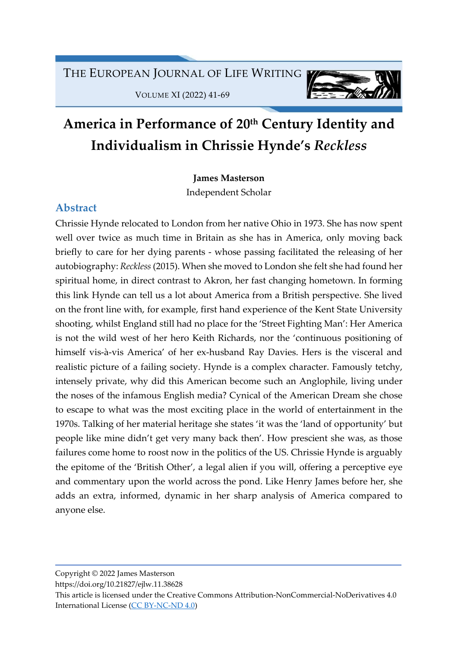VOLUME XI (2022) 41-69



# America in Performance of 20<sup>th</sup> Century Identity and Individualism in Chrissie Hynde's Reckless

James Masterson

Independent Scholar

# Abstract

Chrissie Hynde relocated to London from her native Ohio in 1973. She has now spent well over twice as much time in Britain as she has in America, only moving back briefly to care for her dying parents - whose passing facilitated the releasing of her autobiography: Reckless (2015). When she moved to London she felt she had found her spiritual home, in direct contrast to Akron, her fast changing hometown. In forming this link Hynde can tell us a lot about America from a British perspective. She lived on the front line with, for example, first hand experience of the Kent State University shooting, whilst England still had no place for the 'Street Fighting Man': Her America is not the wild west of her hero Keith Richards, nor the 'continuous positioning of himself vis-à-vis America' of her ex-husband Ray Davies. Hers is the visceral and realistic picture of a failing society. Hynde is a complex character. Famously tetchy, intensely private, why did this American become such an Anglophile, living under the noses of the infamous English media? Cynical of the American Dream she chose to escape to what was the most exciting place in the world of entertainment in the 1970s. Talking of her material heritage she states 'it was the 'land of opportunity' but people like mine didn't get very many back then'. How prescient she was, as those failures come home to roost now in the politics of the US. Chrissie Hynde is arguably the epitome of the 'British Other', a legal alien if you will, offering a perceptive eye and commentary upon the world across the pond. Like Henry James before her, she adds an extra, informed, dynamic in her sharp analysis of America compared to anyone else.

Copyright © 2022 James Masterson

https://doi.org/10.21827/ejlw.11.38628

This article is licensed under the Creative Commons Attribution-NonCommercial-NoDerivatives 4.0 International License (CC BY-NC-ND 4.0)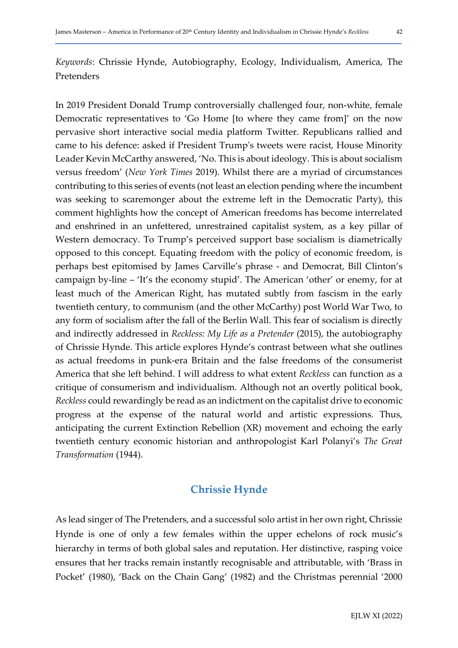Keywords: Chrissie Hynde, Autobiography, Ecology, Individualism, America, The Pretenders

In 2019 President Donald Trump controversially challenged four, non-white, female Democratic representatives to 'Go Home [to where they came from]' on the now pervasive short interactive social media platform Twitter. Republicans rallied and came to his defence: asked if President Trump's tweets were racist, House Minority Leader Kevin McCarthy answered, 'No. This is about ideology. This is about socialism versus freedom' (New York Times 2019). Whilst there are a myriad of circumstances contributing to this series of events (not least an election pending where the incumbent was seeking to scaremonger about the extreme left in the Democratic Party), this comment highlights how the concept of American freedoms has become interrelated and enshrined in an unfettered, unrestrained capitalist system, as a key pillar of Western democracy. To Trump's perceived support base socialism is diametrically opposed to this concept. Equating freedom with the policy of economic freedom, is perhaps best epitomised by James Carville's phrase - and Democrat, Bill Clinton's campaign by-line – 'It's the economy stupid'. The American 'other' or enemy, for at least much of the American Right, has mutated subtly from fascism in the early twentieth century, to communism (and the other McCarthy) post World War Two, to any form of socialism after the fall of the Berlin Wall. This fear of socialism is directly and indirectly addressed in Reckless: My Life as a Pretender (2015), the autobiography of Chrissie Hynde. This article explores Hynde's contrast between what she outlines as actual freedoms in punk-era Britain and the false freedoms of the consumerist America that she left behind. I will address to what extent Reckless can function as a critique of consumerism and individualism. Although not an overtly political book, Reckless could rewardingly be read as an indictment on the capitalist drive to economic progress at the expense of the natural world and artistic expressions. Thus, anticipating the current Extinction Rebellion (XR) movement and echoing the early twentieth century economic historian and anthropologist Karl Polanyi's The Great Transformation (1944).

# Chrissie Hynde

As lead singer of The Pretenders, and a successful solo artist in her own right, Chrissie Hynde is one of only a few females within the upper echelons of rock music's hierarchy in terms of both global sales and reputation. Her distinctive, rasping voice ensures that her tracks remain instantly recognisable and attributable, with 'Brass in Pocket' (1980), 'Back on the Chain Gang' (1982) and the Christmas perennial '2000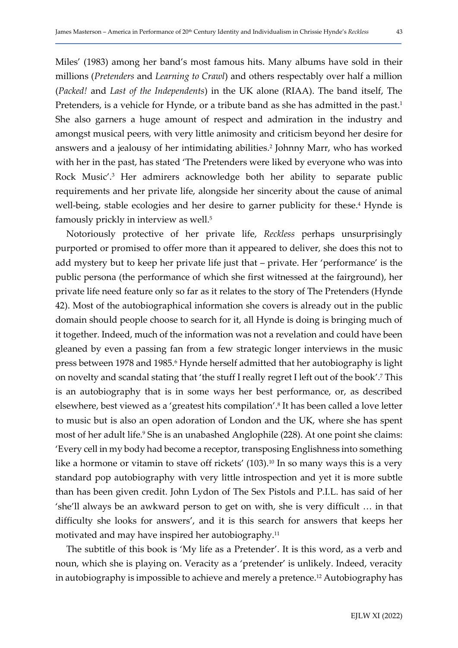Miles' (1983) among her band's most famous hits. Many albums have sold in their millions (Pretenders and Learning to Crawl) and others respectably over half a million (Packed! and Last of the Independents) in the UK alone (RIAA). The band itself, The Pretenders, is a vehicle for Hynde, or a tribute band as she has admitted in the past.<sup>1</sup> She also garners a huge amount of respect and admiration in the industry and amongst musical peers, with very little animosity and criticism beyond her desire for answers and a jealousy of her intimidating abilities.<sup>2</sup> Johnny Marr, who has worked with her in the past, has stated 'The Pretenders were liked by everyone who was into Rock Music'.<sup>3</sup> Her admirers acknowledge both her ability to separate public requirements and her private life, alongside her sincerity about the cause of animal well-being, stable ecologies and her desire to garner publicity for these.<sup>4</sup> Hynde is famously prickly in interview as well.<sup>5</sup>

Notoriously protective of her private life, Reckless perhaps unsurprisingly purported or promised to offer more than it appeared to deliver, she does this not to add mystery but to keep her private life just that – private. Her 'performance' is the public persona (the performance of which she first witnessed at the fairground), her private life need feature only so far as it relates to the story of The Pretenders (Hynde 42). Most of the autobiographical information she covers is already out in the public domain should people choose to search for it, all Hynde is doing is bringing much of it together. Indeed, much of the information was not a revelation and could have been gleaned by even a passing fan from a few strategic longer interviews in the music press between 1978 and 1985.<sup>6</sup> Hynde herself admitted that her autobiography is light on novelty and scandal stating that 'the stuff I really regret I left out of the book'.<sup>7</sup> This is an autobiography that is in some ways her best performance, or, as described elsewhere, best viewed as a 'greatest hits compilation'.<sup>8</sup> It has been called a love letter to music but is also an open adoration of London and the UK, where she has spent most of her adult life.<sup>9</sup> She is an unabashed Anglophile (228). At one point she claims: 'Every cell in my body had become a receptor, transposing Englishness into something like a hormone or vitamin to stave off rickets' (103).<sup>10</sup> In so many ways this is a very standard pop autobiography with very little introspection and yet it is more subtle than has been given credit. John Lydon of The Sex Pistols and P.I.L. has said of her 'she'll always be an awkward person to get on with, she is very difficult … in that difficulty she looks for answers', and it is this search for answers that keeps her motivated and may have inspired her autobiography.<sup>11</sup>

The subtitle of this book is 'My life as a Pretender'. It is this word, as a verb and noun, which she is playing on. Veracity as a 'pretender' is unlikely. Indeed, veracity in autobiography is impossible to achieve and merely a pretence.<sup>12</sup> Autobiography has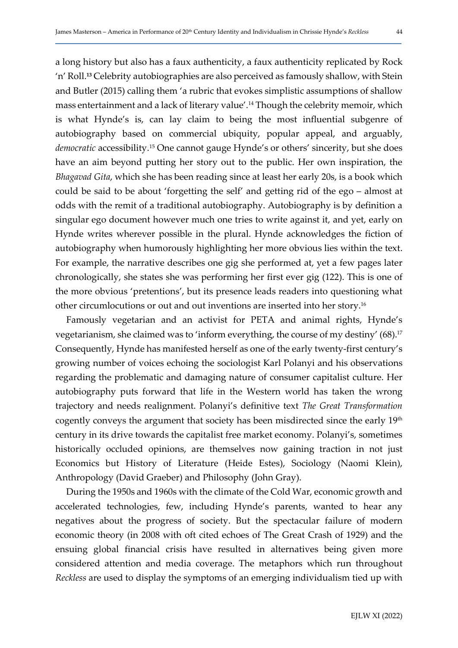a long history but also has a faux authenticity, a faux authenticity replicated by Rock 'n' Roll.13 Celebrity autobiographies are also perceived as famously shallow, with Stein and Butler (2015) calling them 'a rubric that evokes simplistic assumptions of shallow mass entertainment and a lack of literary value'.14 Though the celebrity memoir, which is what Hynde's is, can lay claim to being the most influential subgenre of autobiography based on commercial ubiquity, popular appeal, and arguably, democratic accessibility.<sup>15</sup> One cannot gauge Hynde's or others' sincerity, but she does have an aim beyond putting her story out to the public. Her own inspiration, the Bhagavad Gita, which she has been reading since at least her early 20s, is a book which could be said to be about 'forgetting the self' and getting rid of the ego – almost at odds with the remit of a traditional autobiography. Autobiography is by definition a singular ego document however much one tries to write against it, and yet, early on Hynde writes wherever possible in the plural. Hynde acknowledges the fiction of autobiography when humorously highlighting her more obvious lies within the text. For example, the narrative describes one gig she performed at, yet a few pages later chronologically, she states she was performing her first ever gig (122). This is one of the more obvious 'pretentions', but its presence leads readers into questioning what other circumlocutions or out and out inventions are inserted into her story.<sup>16</sup>

Famously vegetarian and an activist for PETA and animal rights, Hynde's vegetarianism, she claimed was to 'inform everything, the course of my destiny' (68).<sup>17</sup> Consequently, Hynde has manifested herself as one of the early twenty-first century's growing number of voices echoing the sociologist Karl Polanyi and his observations regarding the problematic and damaging nature of consumer capitalist culture. Her autobiography puts forward that life in the Western world has taken the wrong trajectory and needs realignment. Polanyi's definitive text The Great Transformation cogently conveys the argument that society has been misdirected since the early 19th century in its drive towards the capitalist free market economy. Polanyi's, sometimes historically occluded opinions, are themselves now gaining traction in not just Economics but History of Literature (Heide Estes), Sociology (Naomi Klein), Anthropology (David Graeber) and Philosophy (John Gray).

During the 1950s and 1960s with the climate of the Cold War, economic growth and accelerated technologies, few, including Hynde's parents, wanted to hear any negatives about the progress of society. But the spectacular failure of modern economic theory (in 2008 with oft cited echoes of The Great Crash of 1929) and the ensuing global financial crisis have resulted in alternatives being given more considered attention and media coverage. The metaphors which run throughout Reckless are used to display the symptoms of an emerging individualism tied up with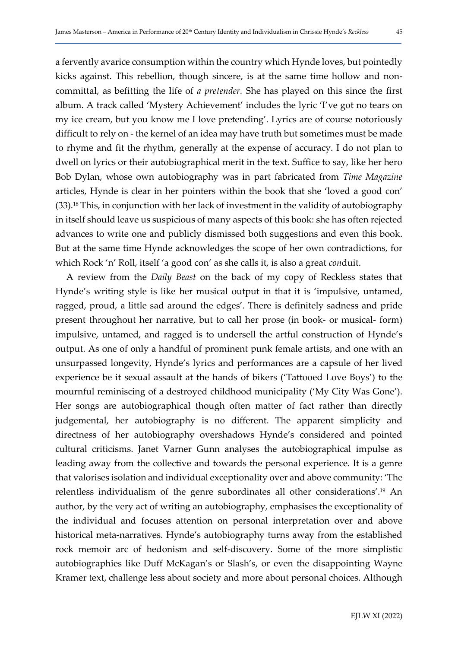a fervently avarice consumption within the country which Hynde loves, but pointedly kicks against. This rebellion, though sincere, is at the same time hollow and noncommittal, as befitting the life of a pretender. She has played on this since the first album. A track called 'Mystery Achievement' includes the lyric 'I've got no tears on my ice cream, but you know me I love pretending'. Lyrics are of course notoriously difficult to rely on - the kernel of an idea may have truth but sometimes must be made to rhyme and fit the rhythm, generally at the expense of accuracy. I do not plan to dwell on lyrics or their autobiographical merit in the text. Suffice to say, like her hero Bob Dylan, whose own autobiography was in part fabricated from Time Magazine articles, Hynde is clear in her pointers within the book that she 'loved a good con' (33).18 This, in conjunction with her lack of investment in the validity of autobiography in itself should leave us suspicious of many aspects of this book: she has often rejected advances to write one and publicly dismissed both suggestions and even this book. But at the same time Hynde acknowledges the scope of her own contradictions, for which Rock 'n' Roll, itself 'a good con' as she calls it, is also a great *conduit*.

A review from the Daily Beast on the back of my copy of Reckless states that Hynde's writing style is like her musical output in that it is 'impulsive, untamed, ragged, proud, a little sad around the edges'. There is definitely sadness and pride present throughout her narrative, but to call her prose (in book- or musical- form) impulsive, untamed, and ragged is to undersell the artful construction of Hynde's output. As one of only a handful of prominent punk female artists, and one with an unsurpassed longevity, Hynde's lyrics and performances are a capsule of her lived experience be it sexual assault at the hands of bikers ('Tattooed Love Boys') to the mournful reminiscing of a destroyed childhood municipality ('My City Was Gone'). Her songs are autobiographical though often matter of fact rather than directly judgemental, her autobiography is no different. The apparent simplicity and directness of her autobiography overshadows Hynde's considered and pointed cultural criticisms. Janet Varner Gunn analyses the autobiographical impulse as leading away from the collective and towards the personal experience. It is a genre that valorises isolation and individual exceptionality over and above community: 'The relentless individualism of the genre subordinates all other considerations'.19 An author, by the very act of writing an autobiography, emphasises the exceptionality of the individual and focuses attention on personal interpretation over and above historical meta-narratives. Hynde's autobiography turns away from the established rock memoir arc of hedonism and self-discovery. Some of the more simplistic autobiographies like Duff McKagan's or Slash's, or even the disappointing Wayne Kramer text, challenge less about society and more about personal choices. Although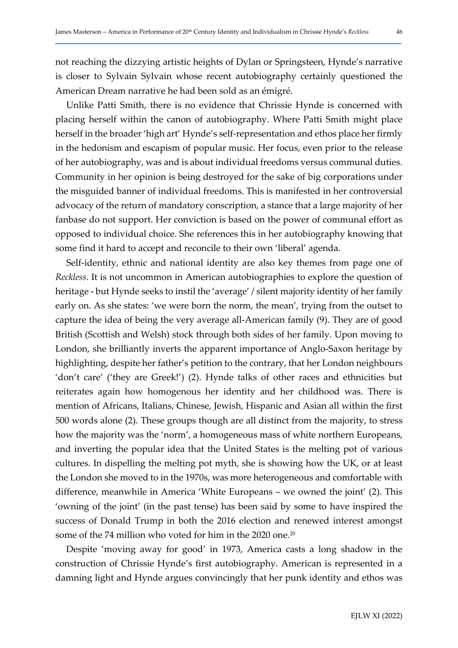not reaching the dizzying artistic heights of Dylan or Springsteen, Hynde's narrative is closer to Sylvain Sylvain whose recent autobiography certainly questioned the American Dream narrative he had been sold as an émigré.

Unlike Patti Smith, there is no evidence that Chrissie Hynde is concerned with placing herself within the canon of autobiography. Where Patti Smith might place herself in the broader 'high art' Hynde's self-representation and ethos place her firmly in the hedonism and escapism of popular music. Her focus, even prior to the release of her autobiography, was and is about individual freedoms versus communal duties. Community in her opinion is being destroyed for the sake of big corporations under the misguided banner of individual freedoms. This is manifested in her controversial advocacy of the return of mandatory conscription, a stance that a large majority of her fanbase do not support. Her conviction is based on the power of communal effort as opposed to individual choice. She references this in her autobiography knowing that some find it hard to accept and reconcile to their own 'liberal' agenda.

Self-identity, ethnic and national identity are also key themes from page one of Reckless. It is not uncommon in American autobiographies to explore the question of heritage - but Hynde seeks to instil the 'average' / silent majority identity of her family early on. As she states: 'we were born the norm, the mean', trying from the outset to capture the idea of being the very average all-American family (9). They are of good British (Scottish and Welsh) stock through both sides of her family. Upon moving to London, she brilliantly inverts the apparent importance of Anglo-Saxon heritage by highlighting, despite her father's petition to the contrary, that her London neighbours 'don't care' ('they are Greek!') (2). Hynde talks of other races and ethnicities but reiterates again how homogenous her identity and her childhood was. There is mention of Africans, Italians, Chinese, Jewish, Hispanic and Asian all within the first 500 words alone (2). These groups though are all distinct from the majority, to stress how the majority was the 'norm', a homogeneous mass of white northern Europeans, and inverting the popular idea that the United States is the melting pot of various cultures. In dispelling the melting pot myth, she is showing how the UK, or at least the London she moved to in the 1970s, was more heterogeneous and comfortable with difference, meanwhile in America 'White Europeans – we owned the joint' (2). This 'owning of the joint' (in the past tense) has been said by some to have inspired the success of Donald Trump in both the 2016 election and renewed interest amongst some of the 74 million who voted for him in the 2020 one.<sup>20</sup>

Despite 'moving away for good' in 1973, America casts a long shadow in the construction of Chrissie Hynde's first autobiography. American is represented in a damning light and Hynde argues convincingly that her punk identity and ethos was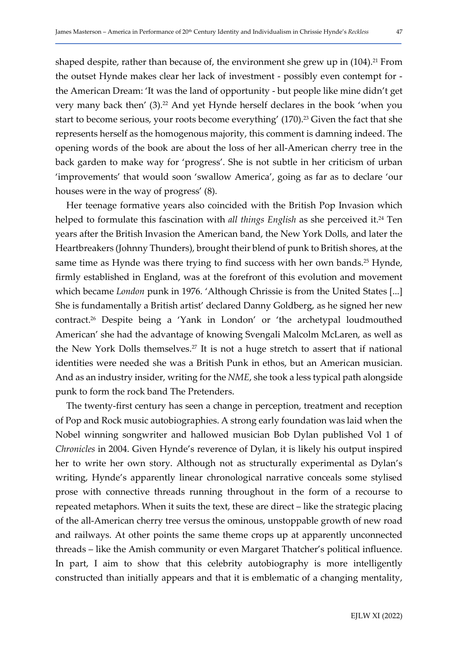shaped despite, rather than because of, the environment she grew up in  $(104)$ .<sup>21</sup> From the outset Hynde makes clear her lack of investment - possibly even contempt for the American Dream: 'It was the land of opportunity - but people like mine didn't get very many back then' (3).<sup>22</sup> And yet Hynde herself declares in the book 'when you start to become serious, your roots become everything' (170).<sup>23</sup> Given the fact that she represents herself as the homogenous majority, this comment is damning indeed. The opening words of the book are about the loss of her all-American cherry tree in the back garden to make way for 'progress'. She is not subtle in her criticism of urban 'improvements' that would soon 'swallow America', going as far as to declare 'our houses were in the way of progress' (8).

Her teenage formative years also coincided with the British Pop Invasion which helped to formulate this fascination with all things English as she perceived it.<sup>24</sup> Ten years after the British Invasion the American band, the New York Dolls, and later the Heartbreakers (Johnny Thunders), brought their blend of punk to British shores, at the same time as Hynde was there trying to find success with her own bands.<sup>25</sup> Hynde, firmly established in England, was at the forefront of this evolution and movement which became London punk in 1976. 'Although Chrissie is from the United States [...] She is fundamentally a British artist' declared Danny Goldberg, as he signed her new contract.26 Despite being a 'Yank in London' or 'the archetypal loudmouthed American' she had the advantage of knowing Svengali Malcolm McLaren, as well as the New York Dolls themselves.27 It is not a huge stretch to assert that if national identities were needed she was a British Punk in ethos, but an American musician. And as an industry insider, writing for the NME, she took a less typical path alongside punk to form the rock band The Pretenders.

The twenty-first century has seen a change in perception, treatment and reception of Pop and Rock music autobiographies. A strong early foundation was laid when the Nobel winning songwriter and hallowed musician Bob Dylan published Vol 1 of Chronicles in 2004. Given Hynde's reverence of Dylan, it is likely his output inspired her to write her own story. Although not as structurally experimental as Dylan's writing, Hynde's apparently linear chronological narrative conceals some stylised prose with connective threads running throughout in the form of a recourse to repeated metaphors. When it suits the text, these are direct – like the strategic placing of the all-American cherry tree versus the ominous, unstoppable growth of new road and railways. At other points the same theme crops up at apparently unconnected threads – like the Amish community or even Margaret Thatcher's political influence. In part, I aim to show that this celebrity autobiography is more intelligently constructed than initially appears and that it is emblematic of a changing mentality,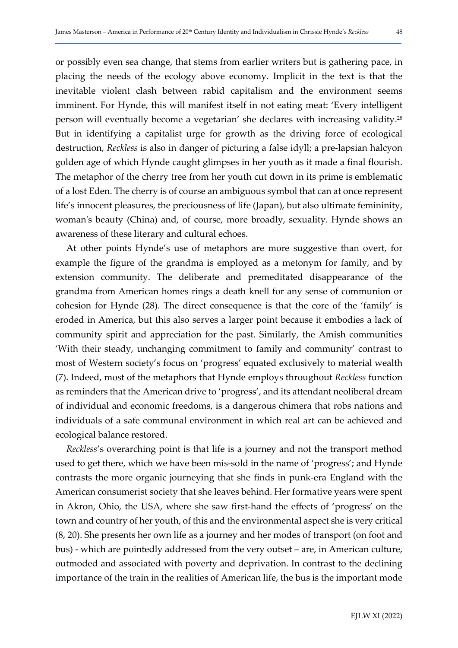or possibly even sea change, that stems from earlier writers but is gathering pace, in placing the needs of the ecology above economy. Implicit in the text is that the inevitable violent clash between rabid capitalism and the environment seems imminent. For Hynde, this will manifest itself in not eating meat: 'Every intelligent person will eventually become a vegetarian' she declares with increasing validity.<sup>28</sup> But in identifying a capitalist urge for growth as the driving force of ecological destruction, Reckless is also in danger of picturing a false idyll; a pre-lapsian halcyon golden age of which Hynde caught glimpses in her youth as it made a final flourish. The metaphor of the cherry tree from her youth cut down in its prime is emblematic of a lost Eden. The cherry is of course an ambiguous symbol that can at once represent life's innocent pleasures, the preciousness of life (Japan), but also ultimate femininity, woman's beauty (China) and, of course, more broadly, sexuality. Hynde shows an awareness of these literary and cultural echoes.

At other points Hynde's use of metaphors are more suggestive than overt, for example the figure of the grandma is employed as a metonym for family, and by extension community. The deliberate and premeditated disappearance of the grandma from American homes rings a death knell for any sense of communion or cohesion for Hynde (28). The direct consequence is that the core of the 'family' is eroded in America, but this also serves a larger point because it embodies a lack of community spirit and appreciation for the past. Similarly, the Amish communities 'With their steady, unchanging commitment to family and community' contrast to most of Western society's focus on 'progress' equated exclusively to material wealth (7). Indeed, most of the metaphors that Hynde employs throughout Reckless function as reminders that the American drive to 'progress', and its attendant neoliberal dream of individual and economic freedoms, is a dangerous chimera that robs nations and individuals of a safe communal environment in which real art can be achieved and ecological balance restored.

Reckless's overarching point is that life is a journey and not the transport method used to get there, which we have been mis-sold in the name of 'progress'; and Hynde contrasts the more organic journeying that she finds in punk-era England with the American consumerist society that she leaves behind. Her formative years were spent in Akron, Ohio, the USA, where she saw first-hand the effects of 'progress' on the town and country of her youth, of this and the environmental aspect she is very critical (8, 20). She presents her own life as a journey and her modes of transport (on foot and bus) - which are pointedly addressed from the very outset – are, in American culture, outmoded and associated with poverty and deprivation. In contrast to the declining importance of the train in the realities of American life, the bus is the important mode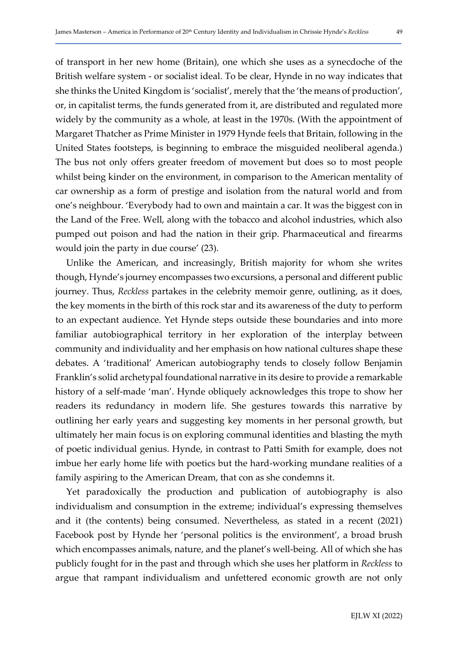of transport in her new home (Britain), one which she uses as a synecdoche of the British welfare system - or socialist ideal. To be clear, Hynde in no way indicates that she thinks the United Kingdom is 'socialist', merely that the 'the means of production', or, in capitalist terms, the funds generated from it, are distributed and regulated more widely by the community as a whole, at least in the 1970s. (With the appointment of Margaret Thatcher as Prime Minister in 1979 Hynde feels that Britain, following in the United States footsteps, is beginning to embrace the misguided neoliberal agenda.) The bus not only offers greater freedom of movement but does so to most people whilst being kinder on the environment, in comparison to the American mentality of car ownership as a form of prestige and isolation from the natural world and from one's neighbour. 'Everybody had to own and maintain a car. It was the biggest con in the Land of the Free. Well, along with the tobacco and alcohol industries, which also pumped out poison and had the nation in their grip. Pharmaceutical and firearms would join the party in due course' (23).

Unlike the American, and increasingly, British majority for whom she writes though, Hynde's journey encompasses two excursions, a personal and different public journey. Thus, Reckless partakes in the celebrity memoir genre, outlining, as it does, the key moments in the birth of this rock star and its awareness of the duty to perform to an expectant audience. Yet Hynde steps outside these boundaries and into more familiar autobiographical territory in her exploration of the interplay between community and individuality and her emphasis on how national cultures shape these debates. A 'traditional' American autobiography tends to closely follow Benjamin Franklin's solid archetypal foundational narrative in its desire to provide a remarkable history of a self-made 'man'. Hynde obliquely acknowledges this trope to show her readers its redundancy in modern life. She gestures towards this narrative by outlining her early years and suggesting key moments in her personal growth, but ultimately her main focus is on exploring communal identities and blasting the myth of poetic individual genius. Hynde, in contrast to Patti Smith for example, does not imbue her early home life with poetics but the hard-working mundane realities of a family aspiring to the American Dream, that con as she condemns it.

Yet paradoxically the production and publication of autobiography is also individualism and consumption in the extreme; individual's expressing themselves and it (the contents) being consumed. Nevertheless, as stated in a recent (2021) Facebook post by Hynde her 'personal politics is the environment', a broad brush which encompasses animals, nature, and the planet's well-being. All of which she has publicly fought for in the past and through which she uses her platform in Reckless to argue that rampant individualism and unfettered economic growth are not only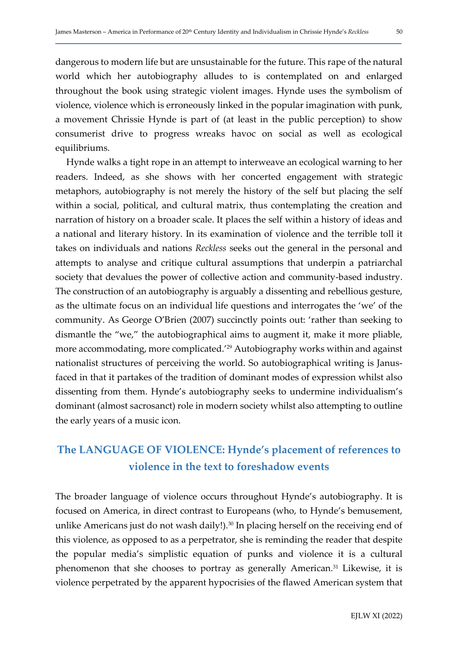dangerous to modern life but are unsustainable for the future. This rape of the natural world which her autobiography alludes to is contemplated on and enlarged throughout the book using strategic violent images. Hynde uses the symbolism of violence, violence which is erroneously linked in the popular imagination with punk, a movement Chrissie Hynde is part of (at least in the public perception) to show consumerist drive to progress wreaks havoc on social as well as ecological equilibriums.

Hynde walks a tight rope in an attempt to interweave an ecological warning to her readers. Indeed, as she shows with her concerted engagement with strategic metaphors, autobiography is not merely the history of the self but placing the self within a social, political, and cultural matrix, thus contemplating the creation and narration of history on a broader scale. It places the self within a history of ideas and a national and literary history. In its examination of violence and the terrible toll it takes on individuals and nations Reckless seeks out the general in the personal and attempts to analyse and critique cultural assumptions that underpin a patriarchal society that devalues the power of collective action and community-based industry. The construction of an autobiography is arguably a dissenting and rebellious gesture, as the ultimate focus on an individual life questions and interrogates the 'we' of the community. As George O'Brien (2007) succinctly points out: 'rather than seeking to dismantle the "we," the autobiographical aims to augment it, make it more pliable, more accommodating, more complicated.'29 Autobiography works within and against nationalist structures of perceiving the world. So autobiographical writing is Janusfaced in that it partakes of the tradition of dominant modes of expression whilst also dissenting from them. Hynde's autobiography seeks to undermine individualism's dominant (almost sacrosanct) role in modern society whilst also attempting to outline the early years of a music icon.

# The LANGUAGE OF VIOLENCE: Hynde's placement of references to violence in the text to foreshadow events

The broader language of violence occurs throughout Hynde's autobiography. It is focused on America, in direct contrast to Europeans (who, to Hynde's bemusement, unlike Americans just do not wash daily!).<sup>30</sup> In placing herself on the receiving end of this violence, as opposed to as a perpetrator, she is reminding the reader that despite the popular media's simplistic equation of punks and violence it is a cultural phenomenon that she chooses to portray as generally American.31 Likewise, it is violence perpetrated by the apparent hypocrisies of the flawed American system that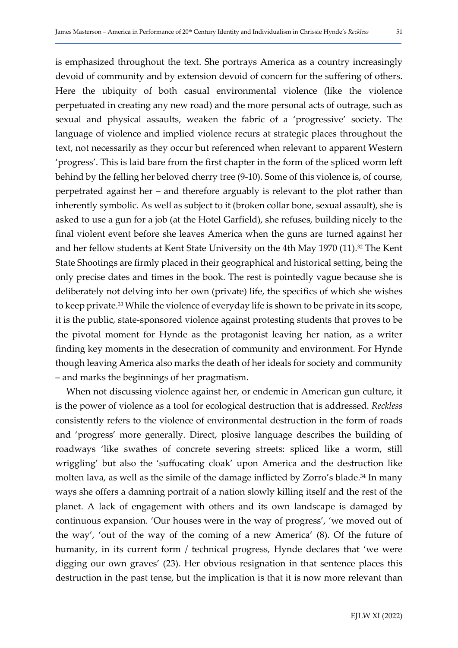is emphasized throughout the text. She portrays America as a country increasingly devoid of community and by extension devoid of concern for the suffering of others. Here the ubiquity of both casual environmental violence (like the violence perpetuated in creating any new road) and the more personal acts of outrage, such as sexual and physical assaults, weaken the fabric of a 'progressive' society. The language of violence and implied violence recurs at strategic places throughout the text, not necessarily as they occur but referenced when relevant to apparent Western 'progress'. This is laid bare from the first chapter in the form of the spliced worm left behind by the felling her beloved cherry tree (9-10). Some of this violence is, of course, perpetrated against her – and therefore arguably is relevant to the plot rather than inherently symbolic. As well as subject to it (broken collar bone, sexual assault), she is asked to use a gun for a job (at the Hotel Garfield), she refuses, building nicely to the final violent event before she leaves America when the guns are turned against her and her fellow students at Kent State University on the 4th May 1970 (11).<sup>32</sup> The Kent State Shootings are firmly placed in their geographical and historical setting, being the only precise dates and times in the book. The rest is pointedly vague because she is deliberately not delving into her own (private) life, the specifics of which she wishes to keep private.33 While the violence of everyday life is shown to be private in its scope, it is the public, state-sponsored violence against protesting students that proves to be the pivotal moment for Hynde as the protagonist leaving her nation, as a writer finding key moments in the desecration of community and environment. For Hynde though leaving America also marks the death of her ideals for society and community – and marks the beginnings of her pragmatism.

When not discussing violence against her, or endemic in American gun culture, it is the power of violence as a tool for ecological destruction that is addressed. Reckless consistently refers to the violence of environmental destruction in the form of roads and 'progress' more generally. Direct, plosive language describes the building of roadways 'like swathes of concrete severing streets: spliced like a worm, still wriggling' but also the 'suffocating cloak' upon America and the destruction like molten lava, as well as the simile of the damage inflicted by Zorro's blade.<sup>34</sup> In many ways she offers a damning portrait of a nation slowly killing itself and the rest of the planet. A lack of engagement with others and its own landscape is damaged by continuous expansion. 'Our houses were in the way of progress', 'we moved out of the way', 'out of the way of the coming of a new America' (8). Of the future of humanity, in its current form / technical progress, Hynde declares that 'we were digging our own graves' (23). Her obvious resignation in that sentence places this destruction in the past tense, but the implication is that it is now more relevant than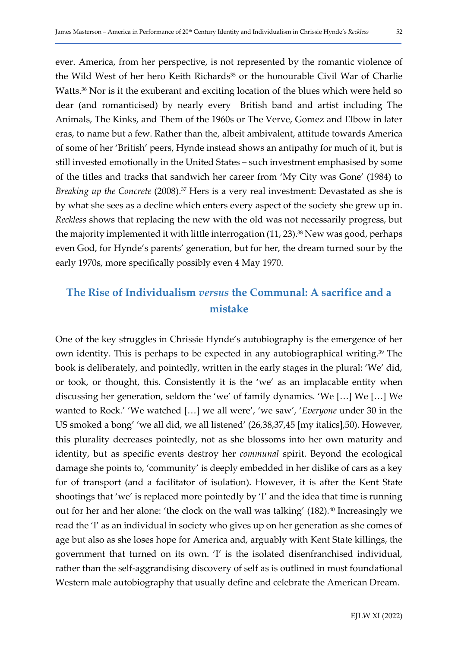ever. America, from her perspective, is not represented by the romantic violence of the Wild West of her hero Keith Richards<sup>35</sup> or the honourable Civil War of Charlie Watts.<sup>36</sup> Nor is it the exuberant and exciting location of the blues which were held so dear (and romanticised) by nearly every British band and artist including The Animals, The Kinks, and Them of the 1960s or The Verve, Gomez and Elbow in later eras, to name but a few. Rather than the, albeit ambivalent, attitude towards America of some of her 'British' peers, Hynde instead shows an antipathy for much of it, but is still invested emotionally in the United States – such investment emphasised by some of the titles and tracks that sandwich her career from 'My City was Gone' (1984) to Breaking up the Concrete (2008).<sup>37</sup> Hers is a very real investment: Devastated as she is by what she sees as a decline which enters every aspect of the society she grew up in. Reckless shows that replacing the new with the old was not necessarily progress, but the majority implemented it with little interrogation  $(11, 23)$ .<sup>38</sup> New was good, perhaps even God, for Hynde's parents' generation, but for her, the dream turned sour by the early 1970s, more specifically possibly even 4 May 1970.

# The Rise of Individualism versus the Communal: A sacrifice and a mistake

One of the key struggles in Chrissie Hynde's autobiography is the emergence of her own identity. This is perhaps to be expected in any autobiographical writing.39 The book is deliberately, and pointedly, written in the early stages in the plural: 'We' did, or took, or thought, this. Consistently it is the 'we' as an implacable entity when discussing her generation, seldom the 'we' of family dynamics. 'We […] We […] We wanted to Rock.' 'We watched […] we all were', 'we saw', 'Everyone under 30 in the US smoked a bong' 'we all did, we all listened' (26,38,37,45 [my italics],50). However, this plurality decreases pointedly, not as she blossoms into her own maturity and identity, but as specific events destroy her *communal* spirit. Beyond the ecological damage she points to, 'community' is deeply embedded in her dislike of cars as a key for of transport (and a facilitator of isolation). However, it is after the Kent State shootings that 'we' is replaced more pointedly by 'I' and the idea that time is running out for her and her alone: 'the clock on the wall was talking' (182).<sup>40</sup> Increasingly we read the 'I' as an individual in society who gives up on her generation as she comes of age but also as she loses hope for America and, arguably with Kent State killings, the government that turned on its own. 'I' is the isolated disenfranchised individual, rather than the self-aggrandising discovery of self as is outlined in most foundational Western male autobiography that usually define and celebrate the American Dream.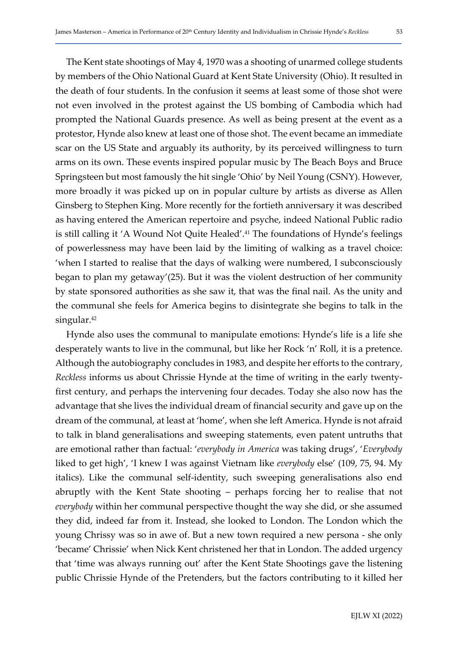The Kent state shootings of May 4, 1970 was a shooting of unarmed college students by members of the Ohio National Guard at Kent State University (Ohio). It resulted in the death of four students. In the confusion it seems at least some of those shot were not even involved in the protest against the US bombing of Cambodia which had prompted the National Guards presence. As well as being present at the event as a protestor, Hynde also knew at least one of those shot. The event became an immediate scar on the US State and arguably its authority, by its perceived willingness to turn arms on its own. These events inspired popular music by The Beach Boys and Bruce Springsteen but most famously the hit single 'Ohio' by Neil Young (CSNY). However, more broadly it was picked up on in popular culture by artists as diverse as Allen Ginsberg to Stephen King. More recently for the fortieth anniversary it was described as having entered the American repertoire and psyche, indeed National Public radio is still calling it 'A Wound Not Quite Healed'.41 The foundations of Hynde's feelings of powerlessness may have been laid by the limiting of walking as a travel choice: 'when I started to realise that the days of walking were numbered, I subconsciously began to plan my getaway'(25). But it was the violent destruction of her community by state sponsored authorities as she saw it, that was the final nail. As the unity and the communal she feels for America begins to disintegrate she begins to talk in the singular.<sup>42</sup>

Hynde also uses the communal to manipulate emotions: Hynde's life is a life she desperately wants to live in the communal, but like her Rock 'n' Roll, it is a pretence. Although the autobiography concludes in 1983, and despite her efforts to the contrary, Reckless informs us about Chrissie Hynde at the time of writing in the early twentyfirst century, and perhaps the intervening four decades. Today she also now has the advantage that she lives the individual dream of financial security and gave up on the dream of the communal, at least at 'home', when she left America. Hynde is not afraid to talk in bland generalisations and sweeping statements, even patent untruths that are emotional rather than factual: 'everybody in America was taking drugs', 'Everybody liked to get high', 'I knew I was against Vietnam like everybody else' (109, 75, 94. My italics). Like the communal self-identity, such sweeping generalisations also end abruptly with the Kent State shooting – perhaps forcing her to realise that not everybody within her communal perspective thought the way she did, or she assumed they did, indeed far from it. Instead, she looked to London. The London which the young Chrissy was so in awe of. But a new town required a new persona - she only 'became' Chrissie' when Nick Kent christened her that in London. The added urgency that 'time was always running out' after the Kent State Shootings gave the listening public Chrissie Hynde of the Pretenders, but the factors contributing to it killed her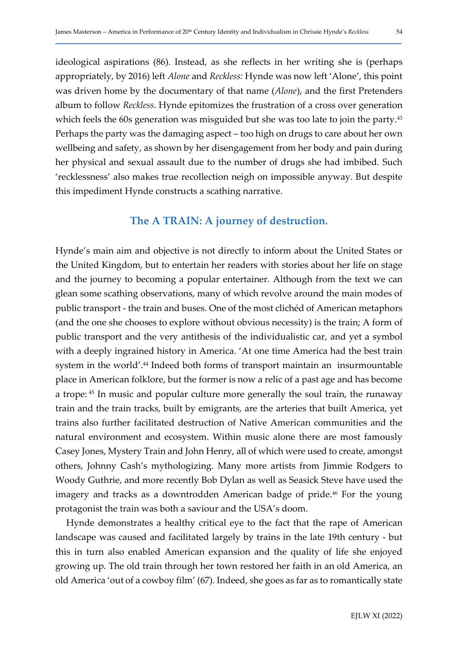ideological aspirations (86). Instead, as she reflects in her writing she is (perhaps appropriately, by 2016) left Alone and Reckless: Hynde was now left 'Alone', this point was driven home by the documentary of that name (Alone), and the first Pretenders album to follow Reckless. Hynde epitomizes the frustration of a cross over generation which feels the 60s generation was misguided but she was too late to join the party.<sup>43</sup> Perhaps the party was the damaging aspect – too high on drugs to care about her own wellbeing and safety, as shown by her disengagement from her body and pain during her physical and sexual assault due to the number of drugs she had imbibed. Such 'recklessness' also makes true recollection neigh on impossible anyway. But despite this impediment Hynde constructs a scathing narrative.

# The A TRAIN: A journey of destruction.

Hynde's main aim and objective is not directly to inform about the United States or the United Kingdom, but to entertain her readers with stories about her life on stage and the journey to becoming a popular entertainer. Although from the text we can glean some scathing observations, many of which revolve around the main modes of public transport - the train and buses. One of the most clichéd of American metaphors (and the one she chooses to explore without obvious necessity) is the train; A form of public transport and the very antithesis of the individualistic car, and yet a symbol with a deeply ingrained history in America. 'At one time America had the best train system in the world'.<sup>44</sup> Indeed both forms of transport maintain an insurmountable place in American folklore, but the former is now a relic of a past age and has become a trope: 45 In music and popular culture more generally the soul train, the runaway train and the train tracks, built by emigrants, are the arteries that built America, yet trains also further facilitated destruction of Native American communities and the natural environment and ecosystem. Within music alone there are most famously Casey Jones, Mystery Train and John Henry, all of which were used to create, amongst others, Johnny Cash's mythologizing. Many more artists from Jimmie Rodgers to Woody Guthrie, and more recently Bob Dylan as well as Seasick Steve have used the imagery and tracks as a downtrodden American badge of pride.<sup>46</sup> For the young protagonist the train was both a saviour and the USA's doom.

Hynde demonstrates a healthy critical eye to the fact that the rape of American landscape was caused and facilitated largely by trains in the late 19th century - but this in turn also enabled American expansion and the quality of life she enjoyed growing up. The old train through her town restored her faith in an old America, an old America 'out of a cowboy film' (67). Indeed, she goes as far as to romantically state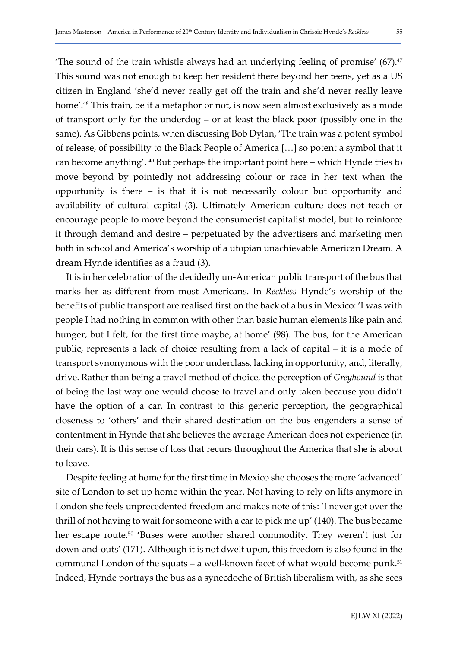The sound of the train whistle always had an underlying feeling of promise'  $(67)^{47}$ This sound was not enough to keep her resident there beyond her teens, yet as a US citizen in England 'she'd never really get off the train and she'd never really leave home'.<sup>48</sup> This train, be it a metaphor or not, is now seen almost exclusively as a mode of transport only for the underdog – or at least the black poor (possibly one in the same). As Gibbens points, when discussing Bob Dylan, 'The train was a potent symbol of release, of possibility to the Black People of America […] so potent a symbol that it can become anything'. 49 But perhaps the important point here – which Hynde tries to move beyond by pointedly not addressing colour or race in her text when the opportunity is there – is that it is not necessarily colour but opportunity and availability of cultural capital (3). Ultimately American culture does not teach or encourage people to move beyond the consumerist capitalist model, but to reinforce it through demand and desire – perpetuated by the advertisers and marketing men both in school and America's worship of a utopian unachievable American Dream. A dream Hynde identifies as a fraud (3).

It is in her celebration of the decidedly un-American public transport of the bus that marks her as different from most Americans. In Reckless Hynde's worship of the benefits of public transport are realised first on the back of a bus in Mexico: 'I was with people I had nothing in common with other than basic human elements like pain and hunger, but I felt, for the first time maybe, at home' (98). The bus, for the American public, represents a lack of choice resulting from a lack of capital – it is a mode of transport synonymous with the poor underclass, lacking in opportunity, and, literally, drive. Rather than being a travel method of choice, the perception of *Greyhound* is that of being the last way one would choose to travel and only taken because you didn't have the option of a car. In contrast to this generic perception, the geographical closeness to 'others' and their shared destination on the bus engenders a sense of contentment in Hynde that she believes the average American does not experience (in their cars). It is this sense of loss that recurs throughout the America that she is about to leave.

Despite feeling at home for the first time in Mexico she chooses the more 'advanced' site of London to set up home within the year. Not having to rely on lifts anymore in London she feels unprecedented freedom and makes note of this: 'I never got over the thrill of not having to wait for someone with a car to pick me up' (140). The bus became her escape route.<sup>50</sup> 'Buses were another shared commodity. They weren't just for down-and-outs' (171). Although it is not dwelt upon, this freedom is also found in the communal London of the squats – a well-known facet of what would become punk.<sup>51</sup> Indeed, Hynde portrays the bus as a synecdoche of British liberalism with, as she sees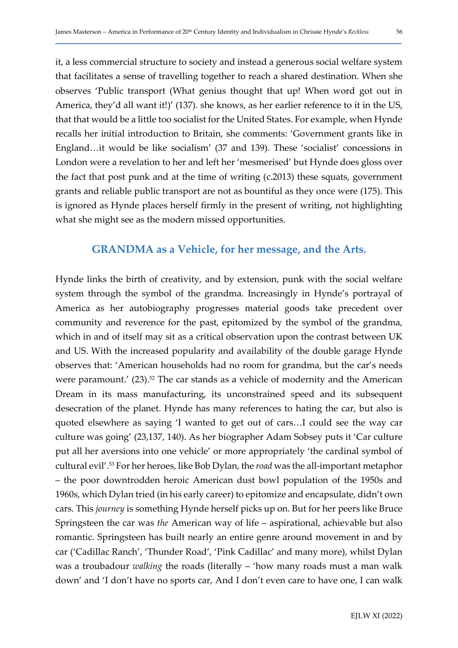it, a less commercial structure to society and instead a generous social welfare system that facilitates a sense of travelling together to reach a shared destination. When she observes 'Public transport (What genius thought that up! When word got out in America, they'd all want it!)' (137). she knows, as her earlier reference to it in the US, that that would be a little too socialist for the United States. For example, when Hynde recalls her initial introduction to Britain, she comments: 'Government grants like in England…it would be like socialism' (37 and 139). These 'socialist' concessions in London were a revelation to her and left her 'mesmerised' but Hynde does gloss over the fact that post punk and at the time of writing (c.2013) these squats, government grants and reliable public transport are not as bountiful as they once were (175). This is ignored as Hynde places herself firmly in the present of writing, not highlighting what she might see as the modern missed opportunities.

## GRANDMA as a Vehicle, for her message, and the Arts.

Hynde links the birth of creativity, and by extension, punk with the social welfare system through the symbol of the grandma. Increasingly in Hynde's portrayal of America as her autobiography progresses material goods take precedent over community and reverence for the past, epitomized by the symbol of the grandma, which in and of itself may sit as a critical observation upon the contrast between UK and US. With the increased popularity and availability of the double garage Hynde observes that: 'American households had no room for grandma, but the car's needs were paramount.' (23).<sup>52</sup> The car stands as a vehicle of modernity and the American Dream in its mass manufacturing, its unconstrained speed and its subsequent desecration of the planet. Hynde has many references to hating the car, but also is quoted elsewhere as saying 'I wanted to get out of cars…I could see the way car culture was going' (23,137, 140). As her biographer Adam Sobsey puts it 'Car culture put all her aversions into one vehicle' or more appropriately 'the cardinal symbol of cultural evil'.53 For her heroes, like Bob Dylan, the road was the all-important metaphor – the poor downtrodden heroic American dust bowl population of the 1950s and 1960s, which Dylan tried (in his early career) to epitomize and encapsulate, didn't own cars. This journey is something Hynde herself picks up on. But for her peers like Bruce Springsteen the car was the American way of life – aspirational, achievable but also romantic. Springsteen has built nearly an entire genre around movement in and by car ('Cadillac Ranch', 'Thunder Road', 'Pink Cadillac' and many more), whilst Dylan was a troubadour *walking* the roads (literally – 'how many roads must a man walk down' and 'I don't have no sports car, And I don't even care to have one, I can walk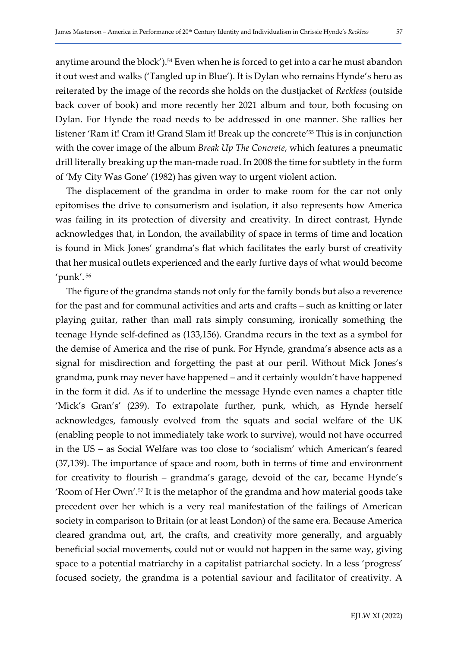anytime around the block').<sup>54</sup> Even when he is forced to get into a car he must abandon it out west and walks ('Tangled up in Blue'). It is Dylan who remains Hynde's hero as reiterated by the image of the records she holds on the dustjacket of Reckless (outside back cover of book) and more recently her 2021 album and tour, both focusing on Dylan. For Hynde the road needs to be addressed in one manner. She rallies her listener 'Ram it! Cram it! Grand Slam it! Break up the concrete'55 This is in conjunction with the cover image of the album Break Up The Concrete, which features a pneumatic drill literally breaking up the man-made road. In 2008 the time for subtlety in the form of 'My City Was Gone' (1982) has given way to urgent violent action.

The displacement of the grandma in order to make room for the car not only epitomises the drive to consumerism and isolation, it also represents how America was failing in its protection of diversity and creativity. In direct contrast, Hynde acknowledges that, in London, the availability of space in terms of time and location is found in Mick Jones' grandma's flat which facilitates the early burst of creativity that her musical outlets experienced and the early furtive days of what would become 'punk'.<sup>56</sup>

The figure of the grandma stands not only for the family bonds but also a reverence for the past and for communal activities and arts and crafts – such as knitting or later playing guitar, rather than mall rats simply consuming, ironically something the teenage Hynde self-defined as (133,156). Grandma recurs in the text as a symbol for the demise of America and the rise of punk. For Hynde, grandma's absence acts as a signal for misdirection and forgetting the past at our peril. Without Mick Jones's grandma, punk may never have happened – and it certainly wouldn't have happened in the form it did. As if to underline the message Hynde even names a chapter title 'Mick's Gran's' (239). To extrapolate further, punk, which, as Hynde herself acknowledges, famously evolved from the squats and social welfare of the UK (enabling people to not immediately take work to survive), would not have occurred in the US – as Social Welfare was too close to 'socialism' which American's feared (37,139). The importance of space and room, both in terms of time and environment for creativity to flourish – grandma's garage, devoid of the car, became Hynde's 'Room of Her Own'.57 It is the metaphor of the grandma and how material goods take precedent over her which is a very real manifestation of the failings of American society in comparison to Britain (or at least London) of the same era. Because America cleared grandma out, art, the crafts, and creativity more generally, and arguably beneficial social movements, could not or would not happen in the same way, giving space to a potential matriarchy in a capitalist patriarchal society. In a less 'progress' focused society, the grandma is a potential saviour and facilitator of creativity. A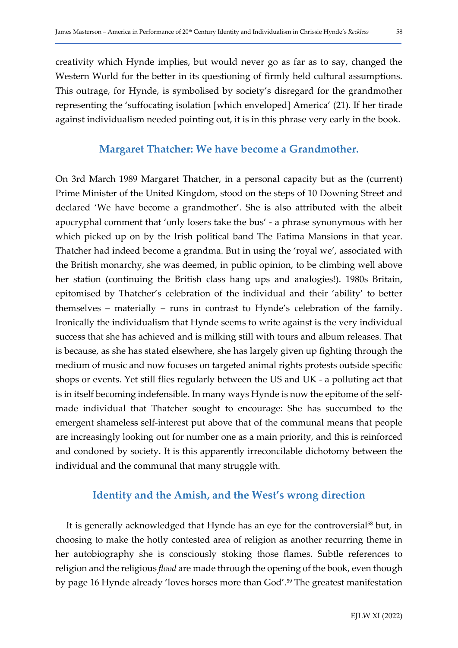creativity which Hynde implies, but would never go as far as to say, changed the Western World for the better in its questioning of firmly held cultural assumptions. This outrage, for Hynde, is symbolised by society's disregard for the grandmother representing the 'suffocating isolation [which enveloped] America' (21). If her tirade against individualism needed pointing out, it is in this phrase very early in the book.

### Margaret Thatcher: We have become a Grandmother.

On 3rd March 1989 Margaret Thatcher, in a personal capacity but as the (current) Prime Minister of the United Kingdom, stood on the steps of 10 Downing Street and declared 'We have become a grandmother'. She is also attributed with the albeit apocryphal comment that 'only losers take the bus' - a phrase synonymous with her which picked up on by the Irish political band The Fatima Mansions in that year. Thatcher had indeed become a grandma. But in using the 'royal we', associated with the British monarchy, she was deemed, in public opinion, to be climbing well above her station (continuing the British class hang ups and analogies!). 1980s Britain, epitomised by Thatcher's celebration of the individual and their 'ability' to better themselves – materially – runs in contrast to Hynde's celebration of the family. Ironically the individualism that Hynde seems to write against is the very individual success that she has achieved and is milking still with tours and album releases. That is because, as she has stated elsewhere, she has largely given up fighting through the medium of music and now focuses on targeted animal rights protests outside specific shops or events. Yet still flies regularly between the US and UK - a polluting act that is in itself becoming indefensible. In many ways Hynde is now the epitome of the selfmade individual that Thatcher sought to encourage: She has succumbed to the emergent shameless self-interest put above that of the communal means that people are increasingly looking out for number one as a main priority, and this is reinforced and condoned by society. It is this apparently irreconcilable dichotomy between the individual and the communal that many struggle with.

# Identity and the Amish, and the West's wrong direction

It is generally acknowledged that Hynde has an eye for the controversial<sup>58</sup> but, in choosing to make the hotly contested area of religion as another recurring theme in her autobiography she is consciously stoking those flames. Subtle references to religion and the religious flood are made through the opening of the book, even though by page 16 Hynde already 'loves horses more than God'.59 The greatest manifestation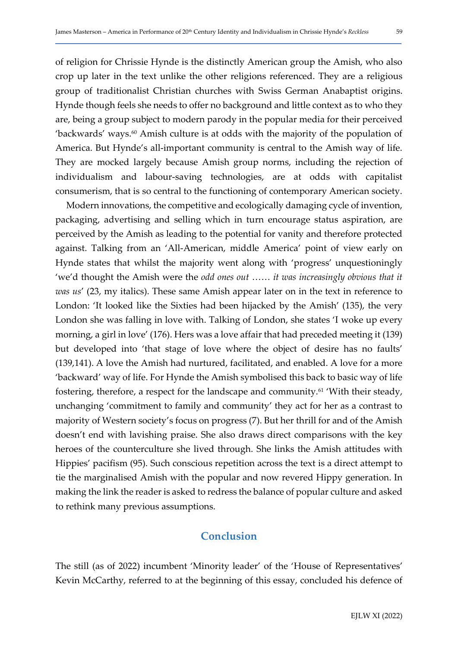of religion for Chrissie Hynde is the distinctly American group the Amish, who also crop up later in the text unlike the other religions referenced. They are a religious group of traditionalist Christian churches with Swiss German Anabaptist origins. Hynde though feels she needs to offer no background and little context as to who they are, being a group subject to modern parody in the popular media for their perceived 'backwards' ways.<sup>60</sup> Amish culture is at odds with the majority of the population of America. But Hynde's all-important community is central to the Amish way of life. They are mocked largely because Amish group norms, including the rejection of individualism and labour-saving technologies, are at odds with capitalist consumerism, that is so central to the functioning of contemporary American society.

Modern innovations, the competitive and ecologically damaging cycle of invention, packaging, advertising and selling which in turn encourage status aspiration, are perceived by the Amish as leading to the potential for vanity and therefore protected against. Talking from an 'All-American, middle America' point of view early on Hynde states that whilst the majority went along with 'progress' unquestioningly 'we'd thought the Amish were the odd ones out …… it was increasingly obvious that it was us' (23, my italics). These same Amish appear later on in the text in reference to London: 'It looked like the Sixties had been hijacked by the Amish' (135), the very London she was falling in love with. Talking of London, she states 'I woke up every morning, a girl in love' (176). Hers was a love affair that had preceded meeting it (139) but developed into 'that stage of love where the object of desire has no faults' (139,141). A love the Amish had nurtured, facilitated, and enabled. A love for a more 'backward' way of life. For Hynde the Amish symbolised this back to basic way of life fostering, therefore, a respect for the landscape and community.<sup>61</sup> 'With their steady, unchanging 'commitment to family and community' they act for her as a contrast to majority of Western society's focus on progress (7). But her thrill for and of the Amish doesn't end with lavishing praise. She also draws direct comparisons with the key heroes of the counterculture she lived through. She links the Amish attitudes with Hippies' pacifism (95). Such conscious repetition across the text is a direct attempt to tie the marginalised Amish with the popular and now revered Hippy generation. In making the link the reader is asked to redress the balance of popular culture and asked to rethink many previous assumptions.

# Conclusion

The still (as of 2022) incumbent 'Minority leader' of the 'House of Representatives' Kevin McCarthy, referred to at the beginning of this essay, concluded his defence of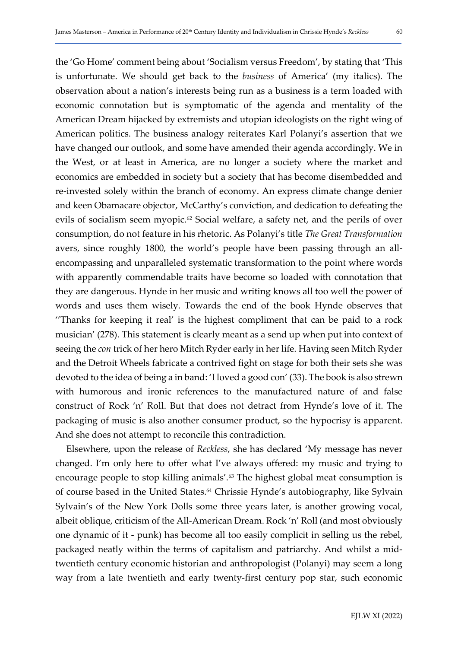the 'Go Home' comment being about 'Socialism versus Freedom', by stating that 'This is unfortunate. We should get back to the business of America' (my italics). The observation about a nation's interests being run as a business is a term loaded with economic connotation but is symptomatic of the agenda and mentality of the American Dream hijacked by extremists and utopian ideologists on the right wing of American politics. The business analogy reiterates Karl Polanyi's assertion that we have changed our outlook, and some have amended their agenda accordingly. We in the West, or at least in America, are no longer a society where the market and economics are embedded in society but a society that has become disembedded and re-invested solely within the branch of economy. An express climate change denier and keen Obamacare objector, McCarthy's conviction, and dedication to defeating the evils of socialism seem myopic.<sup>62</sup> Social welfare, a safety net, and the perils of over consumption, do not feature in his rhetoric. As Polanyi's title The Great Transformation avers, since roughly 1800, the world's people have been passing through an allencompassing and unparalleled systematic transformation to the point where words with apparently commendable traits have become so loaded with connotation that they are dangerous. Hynde in her music and writing knows all too well the power of words and uses them wisely. Towards the end of the book Hynde observes that ''Thanks for keeping it real' is the highest compliment that can be paid to a rock musician' (278). This statement is clearly meant as a send up when put into context of seeing the con trick of her hero Mitch Ryder early in her life. Having seen Mitch Ryder and the Detroit Wheels fabricate a contrived fight on stage for both their sets she was devoted to the idea of being a in band: 'I loved a good con' (33). The book is also strewn with humorous and ironic references to the manufactured nature of and false construct of Rock 'n' Roll. But that does not detract from Hynde's love of it. The packaging of music is also another consumer product, so the hypocrisy is apparent. And she does not attempt to reconcile this contradiction.

Elsewhere, upon the release of Reckless, she has declared 'My message has never changed. I'm only here to offer what I've always offered: my music and trying to encourage people to stop killing animals'.63 The highest global meat consumption is of course based in the United States.<sup>64</sup> Chrissie Hynde's autobiography, like Sylvain Sylvain's of the New York Dolls some three years later, is another growing vocal, albeit oblique, criticism of the All-American Dream. Rock 'n' Roll (and most obviously one dynamic of it - punk) has become all too easily complicit in selling us the rebel, packaged neatly within the terms of capitalism and patriarchy. And whilst a midtwentieth century economic historian and anthropologist (Polanyi) may seem a long way from a late twentieth and early twenty-first century pop star, such economic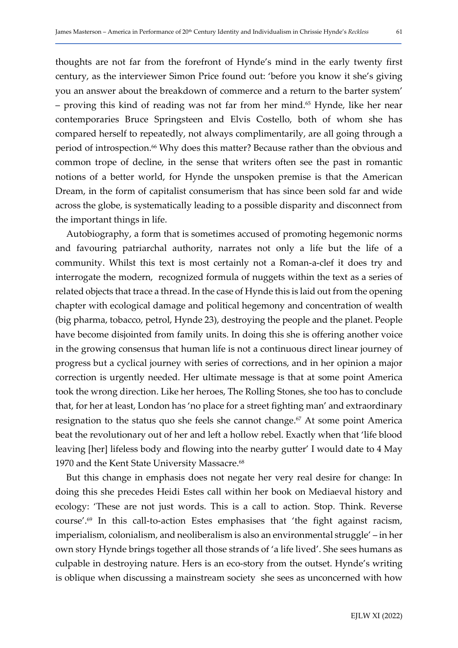thoughts are not far from the forefront of Hynde's mind in the early twenty first century, as the interviewer Simon Price found out: 'before you know it she's giving you an answer about the breakdown of commerce and a return to the barter system' – proving this kind of reading was not far from her mind.<sup>65</sup> Hynde, like her near contemporaries Bruce Springsteen and Elvis Costello, both of whom she has compared herself to repeatedly, not always complimentarily, are all going through a period of introspection.<sup>66</sup> Why does this matter? Because rather than the obvious and common trope of decline, in the sense that writers often see the past in romantic notions of a better world, for Hynde the unspoken premise is that the American Dream, in the form of capitalist consumerism that has since been sold far and wide across the globe, is systematically leading to a possible disparity and disconnect from the important things in life.

Autobiography, a form that is sometimes accused of promoting hegemonic norms and favouring patriarchal authority, narrates not only a life but the life of a community. Whilst this text is most certainly not a Roman-a-clef it does try and interrogate the modern, recognized formula of nuggets within the text as a series of related objects that trace a thread. In the case of Hynde this is laid out from the opening chapter with ecological damage and political hegemony and concentration of wealth (big pharma, tobacco, petrol, Hynde 23), destroying the people and the planet. People have become disjointed from family units. In doing this she is offering another voice in the growing consensus that human life is not a continuous direct linear journey of progress but a cyclical journey with series of corrections, and in her opinion a major correction is urgently needed. Her ultimate message is that at some point America took the wrong direction. Like her heroes, The Rolling Stones, she too has to conclude that, for her at least, London has 'no place for a street fighting man' and extraordinary resignation to the status quo she feels she cannot change.<sup>67</sup> At some point America beat the revolutionary out of her and left a hollow rebel. Exactly when that 'life blood leaving [her] lifeless body and flowing into the nearby gutter' I would date to 4 May 1970 and the Kent State University Massacre.<sup>68</sup>

But this change in emphasis does not negate her very real desire for change: In doing this she precedes Heidi Estes call within her book on Mediaeval history and ecology: 'These are not just words. This is a call to action. Stop. Think. Reverse course'.69 In this call-to-action Estes emphasises that 'the fight against racism, imperialism, colonialism, and neoliberalism is also an environmental struggle' – in her own story Hynde brings together all those strands of 'a life lived'. She sees humans as culpable in destroying nature. Hers is an eco-story from the outset. Hynde's writing is oblique when discussing a mainstream society she sees as unconcerned with how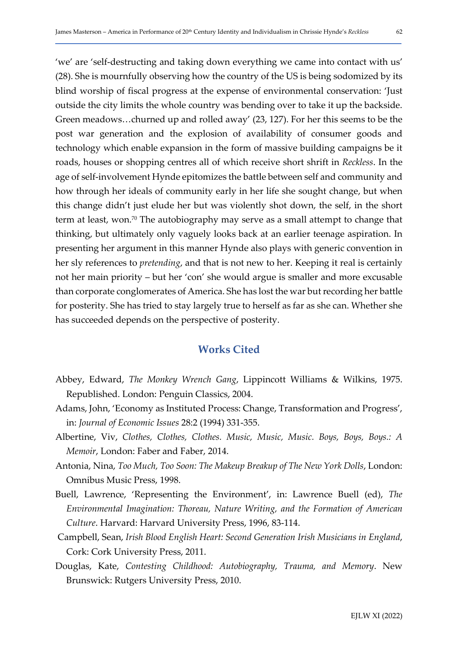'we' are 'self-destructing and taking down everything we came into contact with us' (28). She is mournfully observing how the country of the US is being sodomized by its blind worship of fiscal progress at the expense of environmental conservation: 'Just outside the city limits the whole country was bending over to take it up the backside. Green meadows…churned up and rolled away' (23, 127). For her this seems to be the post war generation and the explosion of availability of consumer goods and technology which enable expansion in the form of massive building campaigns be it roads, houses or shopping centres all of which receive short shrift in Reckless. In the age of self-involvement Hynde epitomizes the battle between self and community and how through her ideals of community early in her life she sought change, but when this change didn't just elude her but was violently shot down, the self, in the short term at least, won.<sup>70</sup> The autobiography may serve as a small attempt to change that thinking, but ultimately only vaguely looks back at an earlier teenage aspiration. In presenting her argument in this manner Hynde also plays with generic convention in her sly references to *pretending*, and that is not new to her. Keeping it real is certainly not her main priority – but her 'con' she would argue is smaller and more excusable than corporate conglomerates of America. She has lost the war but recording her battle for posterity. She has tried to stay largely true to herself as far as she can. Whether she has succeeded depends on the perspective of posterity.

# Works Cited

- Abbey, Edward, The Monkey Wrench Gang, Lippincott Williams & Wilkins, 1975. Republished. London: Penguin Classics, 2004.
- Adams, John, 'Economy as Instituted Process: Change, Transformation and Progress', in: Journal of Economic Issues 28:2 (1994) 331-355.
- Albertine, Viv, Clothes, Clothes, Clothes. Music, Music, Music. Boys, Boys, Boys.: A Memoir, London: Faber and Faber, 2014.
- Antonia, Nina, Too Much, Too Soon: The Makeup Breakup of The New York Dolls, London: Omnibus Music Press, 1998.
- Buell, Lawrence, 'Representing the Environment', in: Lawrence Buell (ed), The Environmental Imagination: Thoreau, Nature Writing, and the Formation of American Culture. Harvard: Harvard University Press, 1996, 83-114.
- Campbell, Sean, Irish Blood English Heart: Second Generation Irish Musicians in England, Cork: Cork University Press, 2011.
- Douglas, Kate, Contesting Childhood: Autobiography, Trauma, and Memory. New Brunswick: Rutgers University Press, 2010.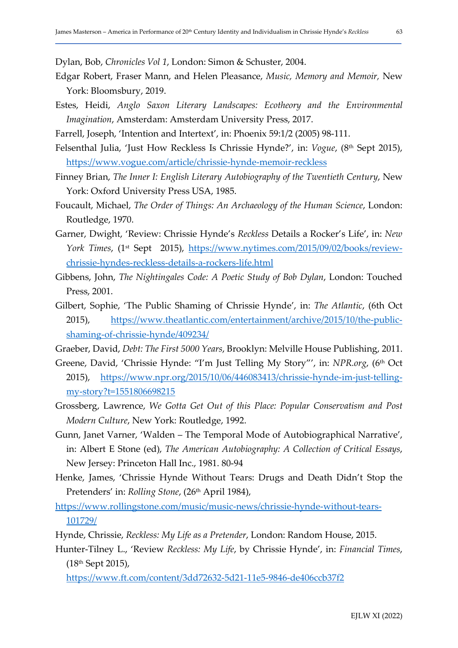Dylan, Bob, Chronicles Vol 1, London: Simon & Schuster, 2004.

- Edgar Robert, Fraser Mann, and Helen Pleasance, Music, Memory and Memoir, New York: Bloomsbury, 2019.
- Estes, Heidi, Anglo Saxon Literary Landscapes: Ecotheory and the Environmental Imagination, Amsterdam: Amsterdam University Press, 2017.
- Farrell, Joseph, 'Intention and Intertext', in: Phoenix 59:1/2 (2005) 98-111.
- Felsenthal Julia, 'Just How Reckless Is Chrissie Hynde?', in: Vogue, (8<sup>th</sup> Sept 2015), https://www.vogue.com/article/chrissie-hynde-memoir-reckless
- Finney Brian, The Inner I: English Literary Autobiography of the Twentieth Century, New York: Oxford University Press USA, 1985.
- Foucault, Michael, The Order of Things: An Archaeology of the Human Science, London: Routledge, 1970.
- Garner, Dwight, 'Review: Chrissie Hynde's Reckless Details a Rocker's Life', in: New York Times, (1<sup>st</sup> Sept 2015), https://www.nytimes.com/2015/09/02/books/reviewchrissie-hyndes-reckless-details-a-rockers-life.html
- Gibbens, John, The Nightingales Code: A Poetic Study of Bob Dylan, London: Touched Press, 2001.
- Gilbert, Sophie, 'The Public Shaming of Chrissie Hynde', in: The Atlantic, (6th Oct 2015), https://www.theatlantic.com/entertainment/archive/2015/10/the-publicshaming-of-chrissie-hynde/409234/
- Graeber, David, Debt: The First 5000 Years, Brooklyn: Melville House Publishing, 2011.
- Greene, David, 'Chrissie Hynde: "I'm Just Telling My Story"', in: NPR.org, (6<sup>th</sup> Oct 2015), https://www.npr.org/2015/10/06/446083413/chrissie-hynde-im-just-tellingmy-story?t=1551806698215
- Grossberg, Lawrence, We Gotta Get Out of this Place: Popular Conservatism and Post Modern Culture, New York: Routledge, 1992.
- Gunn, Janet Varner, 'Walden The Temporal Mode of Autobiographical Narrative', in: Albert E Stone (ed), The American Autobiography: A Collection of Critical Essays, New Jersey: Princeton Hall Inc., 1981. 80-94
- Henke, James, 'Chrissie Hynde Without Tears: Drugs and Death Didn't Stop the Pretenders' in: Rolling Stone, (26<sup>th</sup> April 1984),
- https://www.rollingstone.com/music/music-news/chrissie-hynde-without-tears-101729/
- Hynde, Chrissie, Reckless: My Life as a Pretender, London: Random House, 2015.
- Hunter-Tilney L., 'Review Reckless: My Life, by Chrissie Hynde', in: Financial Times, (18th Sept 2015),

https://www.ft.com/content/3dd72632-5d21-11e5-9846-de406ccb37f2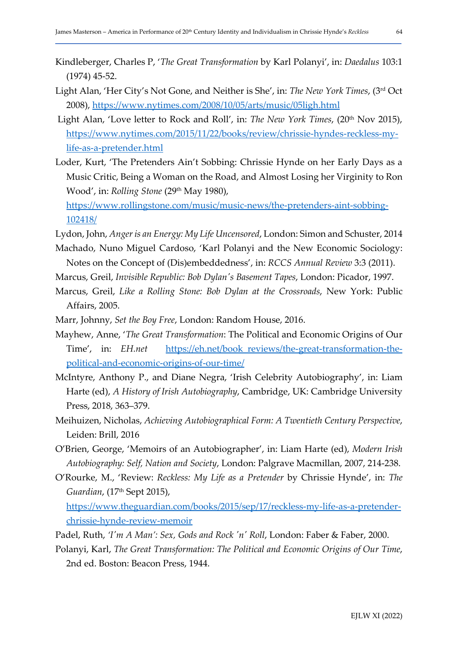- Kindleberger, Charles P, 'The Great Transformation by Karl Polanyi', in: Daedalus 103:1 (1974) 45-52.
- Light Alan, 'Her City's Not Gone, and Neither is She', in: The New York Times, (3rd Oct 2008), https://www.nytimes.com/2008/10/05/arts/music/05ligh.html
- Light Alan, 'Love letter to Rock and Roll', in: The New York Times, (20<sup>th</sup> Nov 2015), https://www.nytimes.com/2015/11/22/books/review/chrissie-hyndes-reckless-mylife-as-a-pretender.html
- Loder, Kurt, 'The Pretenders Ain't Sobbing: Chrissie Hynde on her Early Days as a Music Critic, Being a Woman on the Road, and Almost Losing her Virginity to Ron Wood', in: Rolling Stone (29<sup>th</sup> May 1980),

https://www.rollingstone.com/music/music-news/the-pretenders-aint-sobbing-102418/

Lydon, John, Anger is an Energy: My Life Uncensored, London: Simon and Schuster, 2014

- Machado, Nuno Miguel Cardoso, 'Karl Polanyi and the New Economic Sociology: Notes on the Concept of (Dis)embeddedness', in: RCCS Annual Review 3:3 (2011).
- Marcus, Greil, Invisible Republic: Bob Dylan's Basement Tapes, London: Picador, 1997.
- Marcus, Greil, Like a Rolling Stone: Bob Dylan at the Crossroads, New York: Public Affairs, 2005.
- Marr, Johnny, Set the Boy Free, London: Random House, 2016.
- Mayhew, Anne, 'The Great Transformation: The Political and Economic Origins of Our Time', in: EH.net https://eh.net/book reviews/the-great-transformation-thepolitical-and-economic-origins-of-our-time/
- McIntyre, Anthony P., and Diane Negra, 'Irish Celebrity Autobiography', in: Liam Harte (ed), A History of Irish Autobiography, Cambridge, UK: Cambridge University Press, 2018, 363–379.
- Meihuizen, Nicholas, Achieving Autobiographical Form: A Twentieth Century Perspective, Leiden: Brill, 2016
- O'Brien, George, 'Memoirs of an Autobiographer', in: Liam Harte (ed), Modern Irish Autobiography: Self, Nation and Society, London: Palgrave Macmillan, 2007, 214-238.
- O'Rourke, M., 'Review: Reckless: My Life as a Pretender by Chrissie Hynde', in: The Guardian, (17<sup>th</sup> Sept 2015),

https://www.theguardian.com/books/2015/sep/17/reckless-my-life-as-a-pretenderchrissie-hynde-review-memoir

- Padel, Ruth, 'I'm A Man': Sex, Gods and Rock 'n' Roll, London: Faber & Faber, 2000.
- Polanyi, Karl, The Great Transformation: The Political and Economic Origins of Our Time, 2nd ed. Boston: Beacon Press, 1944.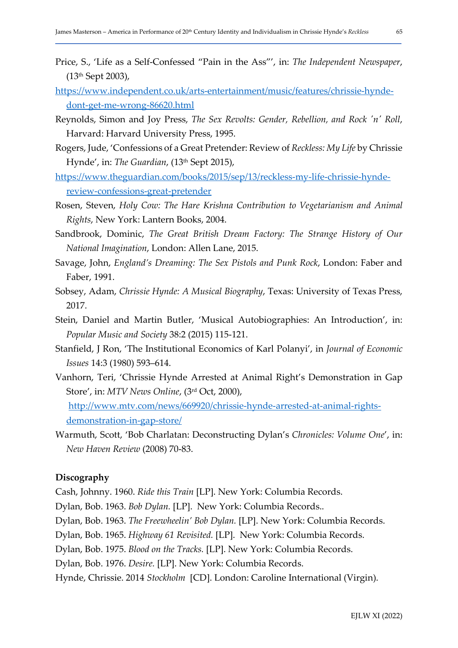- Price, S., 'Life as a Self-Confessed "Pain in the Ass"', in: The Independent Newspaper, (13th Sept 2003),
- https://www.independent.co.uk/arts-entertainment/music/features/chrissie-hyndedont-get-me-wrong-86620.html
- Reynolds, Simon and Joy Press, The Sex Revolts: Gender, Rebellion, and Rock 'n' Roll, Harvard: Harvard University Press, 1995.
- Rogers, Jude, 'Confessions of a Great Pretender: Review of Reckless: My Life by Chrissie Hynde', in: The Guardian, (13th Sept 2015),
- https://www.theguardian.com/books/2015/sep/13/reckless-my-life-chrissie-hyndereview-confessions-great-pretender
- Rosen, Steven, Holy Cow: The Hare Krishna Contribution to Vegetarianism and Animal Rights, New York: Lantern Books, 2004.
- Sandbrook, Dominic, The Great British Dream Factory: The Strange History of Our National Imagination, London: Allen Lane, 2015.
- Savage, John, England's Dreaming: The Sex Pistols and Punk Rock, London: Faber and Faber, 1991.
- Sobsey, Adam, Chrissie Hynde: A Musical Biography, Texas: University of Texas Press, 2017.
- Stein, Daniel and Martin Butler, 'Musical Autobiographies: An Introduction', in: Popular Music and Society 38:2 (2015) 115-121.
- Stanfield, J Ron, 'The Institutional Economics of Karl Polanyi', in Journal of Economic Issues 14:3 (1980) 593–614.
- Vanhorn, Teri, 'Chrissie Hynde Arrested at Animal Right's Demonstration in Gap Store', in: MTV News Online, (3rd Oct, 2000), http://www.mtv.com/news/669920/chrissie-hynde-arrested-at-animal-rights-

demonstration-in-gap-store/

Warmuth, Scott, 'Bob Charlatan: Deconstructing Dylan's Chronicles: Volume One', in: New Haven Review (2008) 70-83.

#### Discography

Cash, Johnny. 1960. Ride this Train [LP]. New York: Columbia Records.

- Dylan, Bob. 1963. Bob Dylan. [LP]. New York: Columbia Records..
- Dylan, Bob. 1963. The Freewheelin' Bob Dylan. [LP]. New York: Columbia Records.

Dylan, Bob. 1965. Highway 61 Revisited. [LP]. New York: Columbia Records.

Dylan, Bob. 1975. Blood on the Tracks. [LP]. New York: Columbia Records.

Dylan, Bob. 1976. Desire. [LP]. New York: Columbia Records.

Hynde, Chrissie. 2014 Stockholm [CD]. London: Caroline International (Virgin).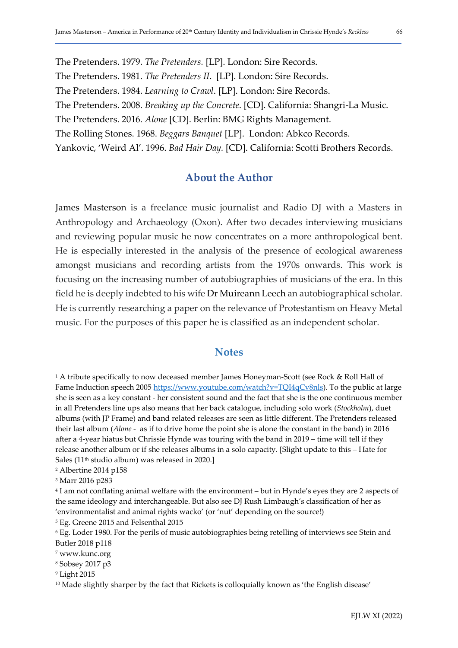The Pretenders. 1979. The Pretenders. [LP]. London: Sire Records. The Pretenders. 1981. The Pretenders II. [LP]. London: Sire Records. The Pretenders. 1984. Learning to Crawl. [LP]. London: Sire Records. The Pretenders. 2008. Breaking up the Concrete. [CD]. California: Shangri-La Music. The Pretenders. 2016. Alone [CD]. Berlin: BMG Rights Management. The Rolling Stones. 1968. Beggars Banquet [LP]. London: Abkco Records. Yankovic, 'Weird Al'. 1996. Bad Hair Day. [CD]. California: Scotti Brothers Records.

# About the Author

James Masterson is a freelance music journalist and Radio DJ with a Masters in Anthropology and Archaeology (Oxon). After two decades interviewing musicians and reviewing popular music he now concentrates on a more anthropological bent. He is especially interested in the analysis of the presence of ecological awareness amongst musicians and recording artists from the 1970s onwards. This work is focusing on the increasing number of autobiographies of musicians of the era. In this field he is deeply indebted to his wife Dr Muireann Leech an autobiographical scholar. He is currently researching a paper on the relevance of Protestantism on Heavy Metal music. For the purposes of this paper he is classified as an independent scholar.

#### **Notes**

<sup>1</sup> A tribute specifically to now deceased member James Honeyman-Scott (see Rock & Roll Hall of Fame Induction speech 2005 https://www.youtube.com/watch?v=TQI4qCv8nls). To the public at large she is seen as a key constant - her consistent sound and the fact that she is the one continuous member in all Pretenders line ups also means that her back catalogue, including solo work (Stockholm), duet albums (with JP Frame) and band related releases are seen as little different. The Pretenders released their last album (Alone - as if to drive home the point she is alone the constant in the band) in 2016 after a 4-year hiatus but Chrissie Hynde was touring with the band in 2019 – time will tell if they release another album or if she releases albums in a solo capacity. [Slight update to this – Hate for Sales (11<sup>th</sup> studio album) was released in 2020.]

2 Albertine 2014 p158

3 Marr 2016 p283

4 I am not conflating animal welfare with the environment – but in Hynde's eyes they are 2 aspects of the same ideology and interchangeable. But also see DJ Rush Limbaugh's classification of her as 'environmentalist and animal rights wacko' (or 'nut' depending on the source!)

5 Eg. Greene 2015 and Felsenthal 2015

6 Eg. Loder 1980. For the perils of music autobiographies being retelling of interviews see Stein and Butler 2018 p118

- 7 www.kunc.org
- 8 Sobsey 2017 p3
- 9 Light 2015

<sup>10</sup> Made slightly sharper by the fact that Rickets is colloquially known as 'the English disease'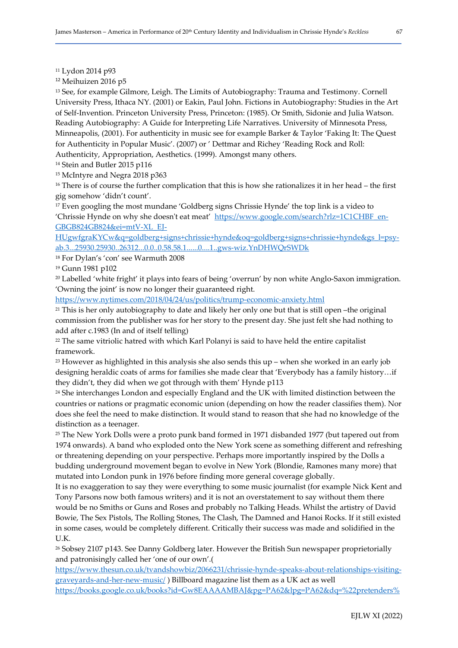<sup>11</sup> Lydon 2014 p93

<sup>12</sup> Meihuizen 2016 p5

<sup>13</sup> See, for example Gilmore, Leigh. The Limits of Autobiography: Trauma and Testimony. Cornell University Press, Ithaca NY. (2001) or Eakin, Paul John. Fictions in Autobiography: Studies in the Art of Self-Invention. Princeton University Press, Princeton: (1985). Or Smith, Sidonie and Julia Watson. Reading Autobiography: A Guide for Interpreting Life Narratives. University of Minnesota Press, Minneapolis, (2001). For authenticity in music see for example Barker & Taylor 'Faking It: The Quest for Authenticity in Popular Music'. (2007) or ' Dettmar and Richey 'Reading Rock and Roll: Authenticity, Appropriation, Aesthetics. (1999). Amongst many others.

<sup>14</sup> Stein and Butler 2015 p116

<sup>15</sup> McIntyre and Negra 2018 p363

<sup>16</sup> There is of course the further complication that this is how she rationalizes it in her head – the first gig somehow 'didn't count'.

<sup>17</sup> Even googling the most mundane 'Goldberg signs Chrissie Hynde' the top link is a video to 'Chrissie Hynde on why she doesn't eat meat' https://www.google.com/search?rlz=1C1CHBF\_en-GBGB824GB824&ei=mtV-XL\_EJ-

HUgwfgraKYCw&q=goldberg+signs+chrissie+hynde&oq=goldberg+signs+chrissie+hynde&gs\_l=psyab.3...25930.25930..26312...0.0..0.58.58.1......0....1..gws-wiz.YnDHWQrSWDk

<sup>18</sup> For Dylan's 'con' see Warmuth 2008

<sup>19</sup> Gunn 1981 p102

<sup>20</sup> Labelled 'white fright' it plays into fears of being 'overrun' by non white Anglo-Saxon immigration. 'Owning the joint' is now no longer their guaranteed right.

https://www.nytimes.com/2018/04/24/us/politics/trump-economic-anxiety.html

<sup>21</sup> This is her only autobiography to date and likely her only one but that is still open -the original commission from the publisher was for her story to the present day. She just felt she had nothing to add after c.1983 (In and of itself telling)

<sup>22</sup> The same vitriolic hatred with which Karl Polanyi is said to have held the entire capitalist framework.

 $23$  However as highlighted in this analysis she also sends this up – when she worked in an early job designing heraldic coats of arms for families she made clear that 'Everybody has a family history…if they didn't, they did when we got through with them' Hynde p113

<sup>24</sup> She interchanges London and especially England and the UK with limited distinction between the countries or nations or pragmatic economic union (depending on how the reader classifies them). Nor does she feel the need to make distinction. It would stand to reason that she had no knowledge of the distinction as a teenager.

<sup>25</sup> The New York Dolls were a proto punk band formed in 1971 disbanded 1977 (but tapered out from 1974 onwards). A band who exploded onto the New York scene as something different and refreshing or threatening depending on your perspective. Perhaps more importantly inspired by the Dolls a budding underground movement began to evolve in New York (Blondie, Ramones many more) that mutated into London punk in 1976 before finding more general coverage globally.

It is no exaggeration to say they were everything to some music journalist (for example Nick Kent and Tony Parsons now both famous writers) and it is not an overstatement to say without them there would be no Smiths or Guns and Roses and probably no Talking Heads. Whilst the artistry of David Bowie, The Sex Pistols, The Rolling Stones, The Clash, The Damned and Hanoi Rocks. If it still existed in some cases, would be completely different. Critically their success was made and solidified in the U.K.

<sup>26</sup> Sobsey 2107 p143. See Danny Goldberg later. However the British Sun newspaper proprietorially and patronisingly called her 'one of our own'.(

https://www.thesun.co.uk/tvandshowbiz/2066231/chrissie-hynde-speaks-about-relationships-visitinggraveyards-and-her-new-music/ ) Billboard magazine list them as a UK act as well https://books.google.co.uk/books?id=Gw8EAAAAMBAJ&pg=PA62&lpg=PA62&dq=%22pretenders%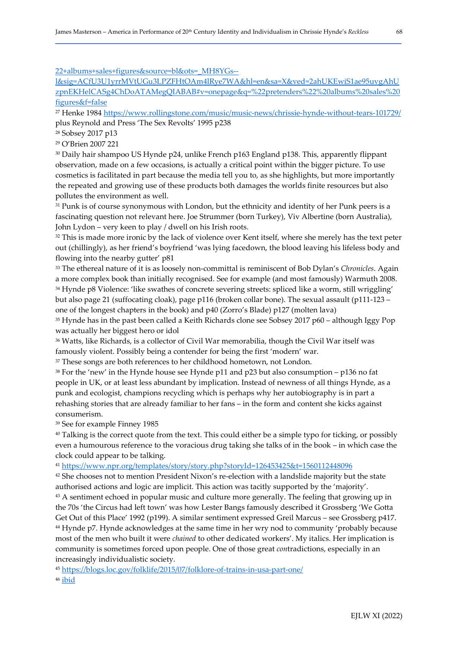22+albums+sales+figures&source=bl&ots=\_MH8YGs--

l&sig=ACfU3U1yrrMVtUGu3LPZFHtOAm4lRye7WA&hl=en&sa=X&ved=2ahUKEwiS1ae95uvgAhU zpnEKHelCASg4ChDoATAMegQIABAB#v=onepage&q=%22pretenders%22%20albums%20sales%20 figures&f=false

<sup>27</sup> Henke 1984 https://www.rollingstone.com/music/music-news/chrissie-hynde-without-tears-101729/ plus Reynold and Press 'The Sex Revolts' 1995 p238

<sup>28</sup> Sobsey 2017 p13

<sup>29</sup> O'Brien 2007 221

<sup>30</sup> Daily hair shampoo US Hynde p24, unlike French p163 England p138. This, apparently flippant observation, made on a few occasions, is actually a critical point within the bigger picture. To use cosmetics is facilitated in part because the media tell you to, as she highlights, but more importantly the repeated and growing use of these products both damages the worlds finite resources but also pollutes the environment as well.

<sup>31</sup> Punk is of course synonymous with London, but the ethnicity and identity of her Punk peers is a fascinating question not relevant here. Joe Strummer (born Turkey), Viv Albertine (born Australia), John Lydon – very keen to play / dwell on his Irish roots.

<sup>32</sup> This is made more ironic by the lack of violence over Kent itself, where she merely has the text peter out (chillingly), as her friend's boyfriend 'was lying facedown, the blood leaving his lifeless body and flowing into the nearby gutter' p81

<sup>33</sup> The ethereal nature of it is as loosely non-committal is reminiscent of Bob Dylan's Chronicles. Again a more complex book than initially recognised. See for example (and most famously) Warmuth 2008. <sup>34</sup> Hynde p8 Violence: 'like swathes of concrete severing streets: spliced like a worm, still wriggling' but also page 21 (suffocating cloak), page p116 (broken collar bone). The sexual assault (p111-123 – one of the longest chapters in the book) and p40 (Zorro's Blade) p127 (molten lava)

<sup>35</sup> Hynde has in the past been called a Keith Richards clone see Sobsey 2017 p60 – although Iggy Pop was actually her biggest hero or idol

<sup>36</sup> Watts, like Richards, is a collector of Civil War memorabilia, though the Civil War itself was famously violent. Possibly being a contender for being the first 'modern' war.

<sup>37</sup> These songs are both references to her childhood hometown, not London.

<sup>38</sup> For the 'new' in the Hynde house see Hynde p11 and p23 but also consumption – p136 no fat people in UK, or at least less abundant by implication. Instead of newness of all things Hynde, as a punk and ecologist, champions recycling which is perhaps why her autobiography is in part a rehashing stories that are already familiar to her fans – in the form and content she kicks against consumerism.

<sup>39</sup> See for example Finney 1985

<sup>40</sup> Talking is the correct quote from the text. This could either be a simple typo for ticking, or possibly even a humourous reference to the voracious drug taking she talks of in the book – in which case the clock could appear to be talking.

<sup>41</sup> https://www.npr.org/templates/story/story.php?storyId=126453425&t=1560112448096

<sup>42</sup> She chooses not to mention President Nixon's re-election with a landslide majority but the state authorised actions and logic are implicit. This action was tacitly supported by the 'majority'.

<sup>43</sup> A sentiment echoed in popular music and culture more generally. The feeling that growing up in the 70s 'the Circus had left town' was how Lester Bangs famously described it Grossberg 'We Gotta Get Out of this Place' 1992 (p199). A similar sentiment expressed Greil Marcus – see Grossberg p417. <sup>44</sup> Hynde p7. Hynde acknowledges at the same time in her wry nod to community 'probably because most of the men who built it were chained to other dedicated workers'. My italics. Her implication is community is sometimes forced upon people. One of those great contradictions, especially in an increasingly individualistic society.

<sup>45</sup> https://blogs.loc.gov/folklife/2015/07/folklore-of-trains-in-usa-part-one/

<sup>46</sup> ibid